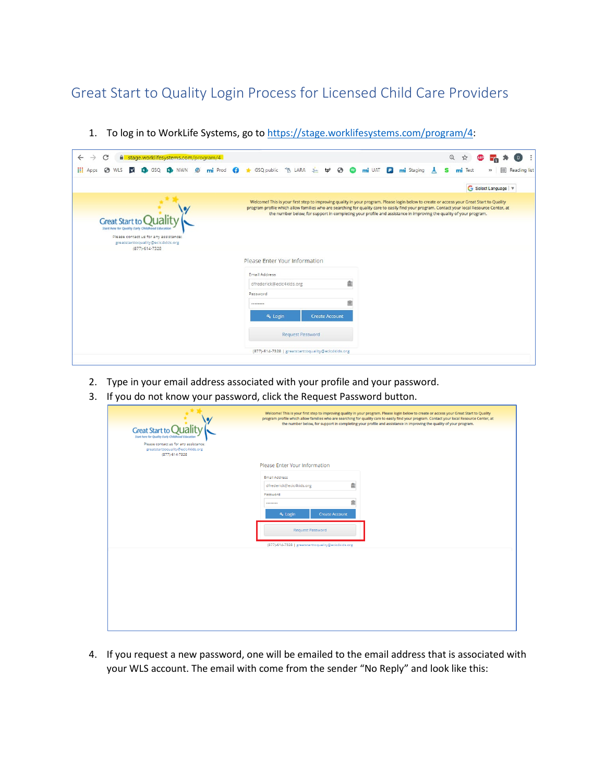Great Start to Quality Login Process for Licensed Child Care Providers

| C<br>$\leftarrow$<br>stage.worklifesystems.com/program/4<br>$\rightarrow$                                                                               |                                                               | Q<br>$\overline{D}$<br>☆<br>÷                                                                                                                                                                                                                                                                                                                                                                                 |
|---------------------------------------------------------------------------------------------------------------------------------------------------------|---------------------------------------------------------------|---------------------------------------------------------------------------------------------------------------------------------------------------------------------------------------------------------------------------------------------------------------------------------------------------------------------------------------------------------------------------------------------------------------|
| 擸<br><b>O</b> WLS<br><b>B</b> GSQ <b>B</b> NWN <b>Ø</b> mi Prod <b>Q</b><br>$\sqrt{ }$<br>Apps                                                          | ★ GSQ public % LARA<br>$\mathbf{P}$ $\mathbf{O}$ $\mathbf{O}$ | mi UAT P<br>mi Staging<br>田<br>mi Test<br>Reading list<br>s<br>$\rightarrow$                                                                                                                                                                                                                                                                                                                                  |
|                                                                                                                                                         |                                                               | G Select Language                                                                                                                                                                                                                                                                                                                                                                                             |
| <b>Great Start to</b><br>Start here for Quality Early Childhood Education<br>Please contact us for any assistance:<br>greatstarttoquality@ecic4kids.org |                                                               | Welcome! This is your first step to improving quality in your program. Please login below to create or access your Great Start to Quality<br>program profile which allow families who are searching for quality care to easily find your program. Contact your local Resource Center, at<br>the number below, for support in completing your profile and assistance in improving the quality of your program. |
| (877)-614-7328                                                                                                                                          | Please Enter Your Information                                 |                                                                                                                                                                                                                                                                                                                                                                                                               |
|                                                                                                                                                         | Email Address                                                 |                                                                                                                                                                                                                                                                                                                                                                                                               |
|                                                                                                                                                         | dfrederick@ecic4kids.org                                      | 面                                                                                                                                                                                                                                                                                                                                                                                                             |
|                                                                                                                                                         | Password                                                      |                                                                                                                                                                                                                                                                                                                                                                                                               |
|                                                                                                                                                         |                                                               | 盦                                                                                                                                                                                                                                                                                                                                                                                                             |
|                                                                                                                                                         | & Login<br><b>Create Account</b>                              |                                                                                                                                                                                                                                                                                                                                                                                                               |
|                                                                                                                                                         | Request Password                                              |                                                                                                                                                                                                                                                                                                                                                                                                               |
|                                                                                                                                                         |                                                               |                                                                                                                                                                                                                                                                                                                                                                                                               |

1. To log in to WorkLife Systems, go t[o https://stage.worklifesystems.com/program/4:](https://stage.worklifesystems.com/program/4)

- 2. Type in your email address associated with your profile and your password.
- 3. If you do not know your password, click the Request Password button.

| Welcome! This is your first step to improving quality in your program. Please login below to create or access your Great Start to Quality<br>program profile which allow families who are searching for quality care to easily find your program. Contact your local Resource Center, at<br>the number below, for support in completing your profile and assistance in improving the quality of your program. |
|---------------------------------------------------------------------------------------------------------------------------------------------------------------------------------------------------------------------------------------------------------------------------------------------------------------------------------------------------------------------------------------------------------------|
|                                                                                                                                                                                                                                                                                                                                                                                                               |
|                                                                                                                                                                                                                                                                                                                                                                                                               |
| Please Enter Your Information                                                                                                                                                                                                                                                                                                                                                                                 |
| Email Address                                                                                                                                                                                                                                                                                                                                                                                                 |
| 鱼<br>dfrederick@ecic4kids.org                                                                                                                                                                                                                                                                                                                                                                                 |
| Password<br>鱼<br>                                                                                                                                                                                                                                                                                                                                                                                             |
| a, Login<br><b>Create Account</b>                                                                                                                                                                                                                                                                                                                                                                             |
| <b>Request Password</b>                                                                                                                                                                                                                                                                                                                                                                                       |
| (877)-614-7328   greatstarttoquality@ecic4kids.org                                                                                                                                                                                                                                                                                                                                                            |
|                                                                                                                                                                                                                                                                                                                                                                                                               |
|                                                                                                                                                                                                                                                                                                                                                                                                               |
|                                                                                                                                                                                                                                                                                                                                                                                                               |
|                                                                                                                                                                                                                                                                                                                                                                                                               |
|                                                                                                                                                                                                                                                                                                                                                                                                               |
|                                                                                                                                                                                                                                                                                                                                                                                                               |
|                                                                                                                                                                                                                                                                                                                                                                                                               |
|                                                                                                                                                                                                                                                                                                                                                                                                               |

4. If you request a new password, one will be emailed to the email address that is associated with your WLS account. The email with come from the sender "No Reply" and look like this: